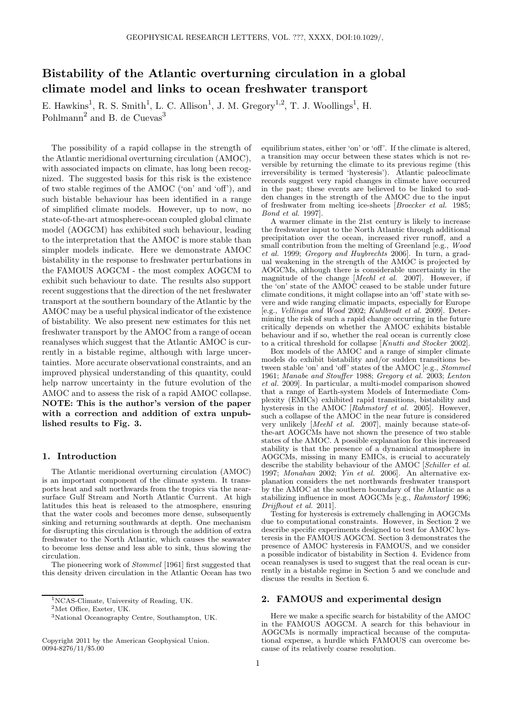### Bistability of the Atlantic overturning circulation in a global climate model and links to ocean freshwater transport

E. Hawkins<sup>1</sup>, R. S. Smith<sup>1</sup>, L. C. Allison<sup>1</sup>, J. M. Gregory<sup>1,2</sup>, T. J. Woollings<sup>1</sup>, H.  $\mathrm{Pohlmann}^2$  and B. de Cuevas $^3$ 

The possibility of a rapid collapse in the strength of the Atlantic meridional overturning circulation (AMOC), with associated impacts on climate, has long been recognized. The suggested basis for this risk is the existence of two stable regimes of the AMOC ('on' and 'off'), and such bistable behaviour has been identified in a range of simplified climate models. However, up to now, no state-of-the-art atmosphere-ocean coupled global climate model (AOGCM) has exhibited such behaviour, leading to the interpretation that the AMOC is more stable than simpler models indicate. Here we demonstrate AMOC bistability in the response to freshwater perturbations in the FAMOUS AOGCM - the most complex AOGCM to exhibit such behaviour to date. The results also support recent suggestions that the direction of the net freshwater transport at the southern boundary of the Atlantic by the AMOC may be a useful physical indicator of the existence of bistability. We also present new estimates for this net freshwater transport by the AMOC from a range of ocean reanalyses which suggest that the Atlantic AMOC is currently in a bistable regime, although with large uncertainties. More accurate observational constraints, and an improved physical understanding of this quantity, could help narrow uncertainty in the future evolution of the AMOC and to assess the risk of a rapid AMOC collapse. NOTE: This is the author's version of the paper with a correction and addition of extra unpublished results to Fig. 3.

#### 1. Introduction

The Atlantic meridional overturning circulation (AMOC) is an important component of the climate system. It transports heat and salt northwards from the tropics via the nearsurface Gulf Stream and North Atlantic Current. At high latitudes this heat is released to the atmosphere, ensuring that the water cools and becomes more dense, subsequently sinking and returning southwards at depth. One mechanism for disrupting this circulation is through the addition of extra freshwater to the North Atlantic, which causes the seawater to become less dense and less able to sink, thus slowing the circulation.

The pioneering work of Stommel [1961] first suggested that this density driven circulation in the Atlantic Ocean has two equilibrium states, either 'on' or 'off'. If the climate is altered, a transition may occur between these states which is not reversible by returning the climate to its previous regime (this irreversibility is termed 'hysteresis'). Atlantic paleoclimate records suggest very rapid changes in climate have occurred in the past; these events are believed to be linked to sudden changes in the strength of the AMOC due to the input of freshwater from melting ice-sheets [Broecker et al. 1985; Bond et al. 1997].

A warmer climate in the 21st century is likely to increase the freshwater input to the North Atlantic through additional precipitation over the ocean, increased river runoff, and a small contribution from the melting of Greenland [e.g., Wood et al. 1999; Gregory and Huybrechts 2006]. In turn, a gradual weakening in the strength of the AMOC is projected by AOGCMs, although there is considerable uncertainty in the magnitude of the change [*Meehl et al.* 2007]. However, if the 'on' state of the AMOC ceased to be stable under future climate conditions, it might collapse into an 'off' state with severe and wide ranging climatic impacts, especially for Europe [e.g., Vellinga and Wood 2002; Kuhlbrodt et al. 2009]. Determining the risk of such a rapid change occurring in the future critically depends on whether the AMOC exhibits bistable behaviour and if so, whether the real ocean is currently close to a critical threshold for collapse [Knutti and Stocker 2002].

Box models of the AMOC and a range of simpler climate models do exhibit bistability and/or sudden transitions between stable 'on' and 'off' states of the AMOC [e.g., Stommel 1961; Manabe and Stouffer 1988; Gregory et al. 2003; Lenton et al. 2009]. In particular, a multi-model comparison showed that a range of Earth-system Models of Intermediate Complexity (EMICs) exhibited rapid transitions, bistability and hysteresis in the AMOC [Rahmstorf et al. 2005]. However, such a collapse of the AMOC in the near future is considered very unlikely [Meehl et al. 2007], mainly because state-ofthe-art AOGCMs have not shown the presence of two stable states of the AMOC. A possible explanation for this increased stability is that the presence of a dynamical atmosphere in AOGCMs, missing in many EMICs, is crucial to accurately describe the stability behaviour of the AMOC [Schiller et al. 1997; Monahan 2002; Yin et al. 2006]. An alternative explanation considers the net northwards freshwater transport by the AMOC at the southern boundary of the Atlantic as a stabilizing influence in most AOGCMs [e.g., Rahmstorf 1996; Drijfhout et al. 2011].

Testing for hysteresis is extremely challenging in AOGCMs due to computational constraints. However, in Section 2 we describe specific experiments designed to test for AMOC hysteresis in the FAMOUS AOGCM. Section 3 demonstrates the presence of AMOC hysteresis in FAMOUS, and we consider a possible indicator of bistability in Section 4. Evidence from ocean reanalyses is used to suggest that the real ocean is currently in a bistable regime in Section 5 and we conclude and discuss the results in Section 6.

#### 2. FAMOUS and experimental design

Here we make a specific search for bistability of the AMOC in the FAMOUS AOGCM. A search for this behaviour in AOGCMs is normally impractical because of the computational expense, a hurdle which FAMOUS can overcome because of its relatively coarse resolution.

<sup>1</sup>NCAS-Climate, University of Reading, UK.

<sup>2</sup>Met Office, Exeter, UK.

<sup>3</sup>National Oceanography Centre, Southampton, UK.

Copyright 2011 by the American Geophysical Union. 0094-8276/11/\$5.00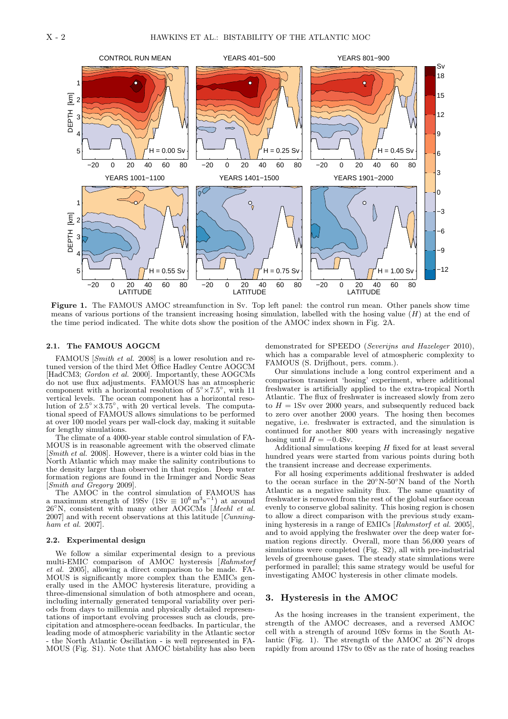

Figure 1. The FAMOUS AMOC streamfunction in Sv. Top left panel: the control run mean. Other panels show time means of various portions of the transient increasing hosing simulation, labelled with the hosing value  $(H)$  at the end of the time period indicated. The white dots show the position of the AMOC index shown in Fig. 2A.

#### 2.1. The FAMOUS AOGCM

FAMOUS [Smith et al. 2008] is a lower resolution and retuned version of the third Met Office Hadley Centre AOGCM [HadCM3; Gordon et al. 2000]. Importantly, these AOGCMs do not use flux adjustments. FAMOUS has an atmospheric component with a horizontal resolution of  $5^\circ \times 7.5^\circ$ , with 11 vertical levels. The ocean component has a horizontal resolution of  $2.5^\circ \times 3.75^\circ$ , with 20 vertical levels. The computational speed of FAMOUS allows simulations to be performed at over 100 model years per wall-clock day, making it suitable for lengthy simulations.

The climate of a 4000-year stable control simulation of FA-MOUS is in reasonable agreement with the observed climate [Smith et al. 2008]. However, there is a winter cold bias in the North Atlantic which may make the salinity contributions to the density larger than observed in that region. Deep water formation regions are found in the Irminger and Nordic Seas [Smith and Gregory 2009].

The AMOC in the control simulation of FAMOUS has a maximum strength of 19Sv ( $1Sv \equiv 10^6 \text{ m}^3 \text{s}^{-1}$ ) at around 26◦N, consistent with many other AOGCMs [Meehl et al. 2007] and with recent observations at this latitude [Cunningham et al. 2007].

#### 2.2. Experimental design

We follow a similar experimental design to a previous multi-EMIC comparison of AMOC hysteresis [Rahmstorf et al. 2005], allowing a direct comparison to be made. FA-MOUS is significantly more complex than the EMICs generally used in the AMOC hysteresis literature, providing a three-dimensional simulation of both atmosphere and ocean, including internally generated temporal variability over periods from days to millennia and physically detailed representations of important evolving processes such as clouds, precipitation and atmosphere-ocean feedbacks. In particular, the leading mode of atmospheric variability in the Atlantic sector - the North Atlantic Oscillation - is well represented in FA-MOUS (Fig. S1). Note that AMOC bistability has also been demonstrated for SPEEDO (Severijns and Hazeleger 2010), which has a comparable level of atmospheric complexity to FAMOUS (S. Drijfhout, pers. comm.).

Our simulations include a long control experiment and a comparison transient 'hosing' experiment, where additional freshwater is artificially applied to the extra-tropical North Atlantic. The flux of freshwater is increased slowly from zero to  $H = 1$ Sv over 2000 years, and subsequently reduced back to zero over another 2000 years. The hosing then becomes negative, i.e. freshwater is extracted, and the simulation is continued for another 800 years with increasingly negative hosing until  $H = -0.4$ Sv.

Additional simulations keeping  $H$  fixed for at least several hundred years were started from various points during both the transient increase and decrease experiments.

For all hosing experiments additional freshwater is added to the ocean surface in the 20◦N-50◦N band of the North Atlantic as a negative salinity flux. The same quantity of freshwater is removed from the rest of the global surface ocean evenly to conserve global salinity. This hosing region is chosen to allow a direct comparison with the previous study examining hysteresis in a range of EMICs [Rahmstorf et al. 2005], and to avoid applying the freshwater over the deep water formation regions directly. Overall, more than 56,000 years of simulations were completed (Fig. S2), all with pre-industrial levels of greenhouse gases. The steady state simulations were performed in parallel; this same strategy would be useful for investigating AMOC hysteresis in other climate models.

#### 3. Hysteresis in the AMOC

As the hosing increases in the transient experiment, the strength of the AMOC decreases, and a reversed AMOC cell with a strength of around 10Sv forms in the South Atlantic (Fig. 1). The strength of the AMOC at  $26°N$  drops rapidly from around 17Sv to 0Sv as the rate of hosing reaches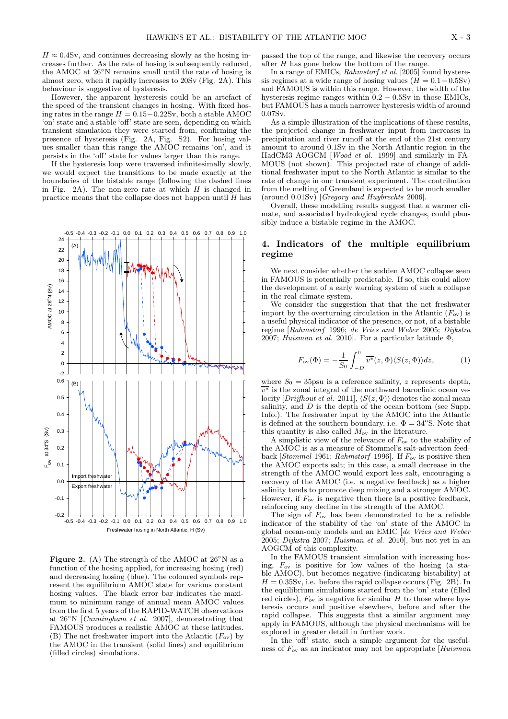$H \approx 0.4$ Sv, and continues decreasing slowly as the hosing increases further. As the rate of hosing is subsequently reduced, the AMOC at 26◦N remains small until the rate of hosing is almost zero, when it rapidly increases to 20Sv (Fig. 2A). This behaviour is suggestive of hysteresis.

However, the apparent hysteresis could be an artefact of the speed of the transient changes in hosing. With fixed hosing rates in the range  $H = 0.15-0.22Sv$ , both a stable AMOC 'on' state and a stable 'off' state are seen, depending on which transient simulation they were started from, confirming the presence of hysteresis (Fig. 2A, Fig. S2). For hosing values smaller than this range the AMOC remains 'on', and it persists in the 'off' state for values larger than this range.

If the hysteresis loop were traversed infinitesimally slowly, we would expect the transitions to be made exactly at the boundaries of the bistable range (following the dashed lines in Fig. 2A). The non-zero rate at which  $H$  is changed in practice means that the collapse does not happen until  $H$  has



Figure 2. (A) The strength of the AMOC at  $26°N$  as a function of the hosing applied, for increasing hosing (red) and decreasing hosing (blue). The coloured symbols represent the equilibrium AMOC state for various constant hosing values. The black error bar indicates the maximum to minimum range of annual mean AMOC values from the first 5 years of the RAPID-WATCH observations at  $26°N$  [*Cunningham et al.* 2007], demonstrating that FAMOUS produces a realistic AMOC at these latitudes. (B) The net freshwater import into the Atlantic  $(F_{ov})$  by the AMOC in the transient (solid lines) and equilibrium (filled circles) simulations.

passed the top of the range, and likewise the recovery occurs after H has gone below the bottom of the range.

In a range of EMICs, Rahmstorf et al. [2005] found hysteresis regimes at a wide range of hosing values  $(H = 0.1 - 0.5Sv)$ and FAMOUS is within this range. However, the width of the hysteresis regime ranges within  $0.2 - 0.5Sv$  in those EMICs, but FAMOUS has a much narrower hysteresis width of around 0.07Sv.

As a simple illustration of the implications of these results, the projected change in freshwater input from increases in precipitation and river runoff at the end of the 21st century amount to around 0.1Sv in the North Atlantic region in the HadCM3 AOGCM [Wood et al. 1999] and similarly in FA-MOUS (not shown). This projected rate of change of additional freshwater input to the North Atlantic is similar to the rate of change in our transient experiment. The contribution from the melting of Greenland is expected to be much smaller (around 0.01Sv) [Gregory and Huybrechts 2006].

Overall, these modelling results suggest that a warmer climate, and associated hydrological cycle changes, could plausibly induce a bistable regime in the AMOC.

#### 4. Indicators of the multiple equilibrium regime

We next consider whether the sudden AMOC collapse seen in FAMOUS is potentially predictable. If so, this could allow the development of a early warning system of such a collapse in the real climate system.

We consider the suggestion that that the net freshwater import by the overturning circulation in the Atlantic  $(F_{ov})$  is a useful physical indicator of the presence, or not, of a bistable regime [Rahmstorf 1996; de Vries and Weber 2005; Dijkstra 2007; Huisman et al. 2010]. For a particular latitude  $\Phi$ ,

$$
F_{\rm ov}(\Phi) = -\frac{1}{S_0} \int_{-D}^0 \overline{v^*}(z, \Phi) \langle S(z, \Phi) \rangle dz, \tag{1}
$$

where  $S_0 = 35$ psu is a reference salinity, z represents depth,  $\overline{v^*}$  is the zonal integral of the northward baroclinic ocean velocity [Drijfhout et al. 2011],  $\langle S(z, \Phi) \rangle$  denotes the zonal mean salinity, and  $D$  is the depth of the ocean bottom (see Supp. Info.). The freshwater input by the AMOC into the Atlantic is defined at the southern boundary, i.e.  $\Phi = 34^{\circ}$ S. Note that this quantity is also called  $M_{\text{ov}}$  in the literature.

A simplistic view of the relevance of  $F_{\text{ov}}$  to the stability of the AMOC is as a measure of Stommel's salt-advection feedback [Stommel 1961; Rahmstorf 1996]. If  $F_{\rm ov}$  is positive then the AMOC exports salt; in this case, a small decrease in the strength of the AMOC would export less salt, encouraging a recovery of the AMOC (i.e. a negative feedback) as a higher salinity tends to promote deep mixing and a stronger AMOC. However, if  $F_{ov}$  is negative then there is a positive feedback, reinforcing any decline in the strength of the AMOC.

The sign of  $F_{\text{ov}}$  has been demonstrated to be a reliable indicator of the stability of the 'on' state of the AMOC in global ocean-only models and an EMIC [de Vries and Weber 2005; Dijkstra 2007; Huisman et al. 2010], but not yet in an AOGCM of this complexity.

In the FAMOUS transient simulation with increasing hosing,  $F_{ov}$  is positive for low values of the hosing (a stable AMOC), but becomes negative (indicating bistability) at  $H = 0.35Sv$ , i.e. before the rapid collapse occurs (Fig. 2B). In the equilibrium simulations started from the 'on' state (filled red circles),  $F_{ov}$  is negative for similar H to those where hysteresis occurs and positive elsewhere, before and after the rapid collapse. This suggests that a similar argument may apply in FAMOUS, although the physical mechanisms will be explored in greater detail in further work.

In the 'off' state, such a simple argument for the usefulness of  $F_{ov}$  as an indicator may not be appropriate [Huisman]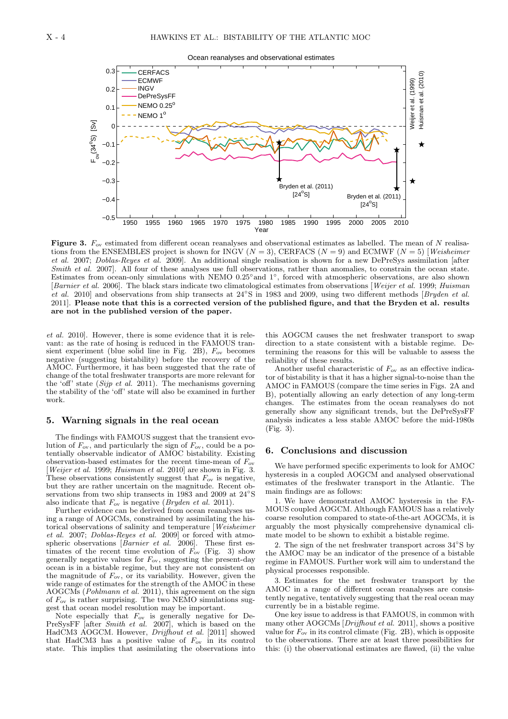Ocean reanalyses and observational estimates



Figure 3.  $F_{\rm ov}$  estimated from different ocean reanalyses and observational estimates as labelled. The mean of N realisations from the ENSEMBLES project is shown for INGV ( $N = 3$ ), CERFACS ( $N = 9$ ) and ECMWF ( $N = 5$ ) [Weisheimer et al. 2007; Doblas-Reyes et al. 2009]. An additional single realisation is shown for a new DePreSys assimilation [after Smith et al. 2007. All four of these analyses use full observations, rather than anomalies, to constrain the ocean state. Estimates from ocean-only simulations with NEMO 0.25° and 1°, forced with atmospheric observations, are also shown [Barnier et al. 2006]. The black stars indicate two climatological estimates from observations [Weijer et al. 1999; Huisman et al. 2010] and observations from ship transects at 24℃ in 1983 and 2009, using two different methods [Bryden et al. 2011]. Please note that this is a corrected version of the published figure, and that the Bryden et al. results are not in the published version of the paper.

et al. 2010]. However, there is some evidence that it is relevant: as the rate of hosing is reduced in the FAMOUS transient experiment (blue solid line in Fig. 2B),  $F_{ov}$  becomes negative (suggesting bistability) before the recovery of the AMOC. Furthermore, it has been suggested that the rate of change of the total freshwater transports are more relevant for the 'off' state (Sijp et al. 2011). The mechanisms governing the stability of the 'off' state will also be examined in further work.

#### 5. Warning signals in the real ocean

The findings with FAMOUS suggest that the transient evolution of  $F_{ov}$ , and particularly the sign of  $F_{ov}$ , could be a potentially observable indicator of AMOC bistability. Existing observation-based estimates for the recent time-mean of  $F_{ov}$ [Weijer et al. 1999; Huisman et al. 2010] are shown in Fig. 3. These observations consistently suggest that  $F_{ov}$  is negative, but they are rather uncertain on the magnitude. Recent observations from two ship transects in 1983 and 2009 at 24<sup>°</sup>S also indicate that  $F_{ov}$  is negative (*Bryden et al.* 2011).

Further evidence can be derived from ocean reanalyses using a range of AOGCMs, constrained by assimilating the historical observations of salinity and temperature [Weisheimer et al. 2007; Doblas-Reyes et al. 2009] or forced with atmospheric observations [Barnier et al. 2006]. These first estimates of the recent time evolution of  $F_{\text{ov}}$  (Fig. 3) show generally negative values for  $F_{\text{ov}}$ , suggesting the present-day ocean is in a bistable regime, but they are not consistent on the magnitude of  $F_{ov}$ , or its variability. However, given the wide range of estimates for the strength of the AMOC in these AOGCMs (Pohlmann et al. 2011), this agreement on the sign of  $F_{\text{ov}}$  is rather surprising. The two NEMO simulations suggest that ocean model resolution may be important.

Note especially that  $F_{ov}$  is generally negative for De-PreSysFF [after Smith et al. 2007], which is based on the HadCM3 AOGCM. However, Drijfhout et al. [2011] showed that HadCM3 has a positive value of  $F_{\text{ov}}$  in its control state. This implies that assimilating the observations into

this AOGCM causes the net freshwater transport to swap direction to a state consistent with a bistable regime. Determining the reasons for this will be valuable to assess the reliability of these results.

Another useful characteristic of  $F_{\text{ov}}$  as an effective indicator of bistability is that it has a higher signal-to-noise than the AMOC in FAMOUS (compare the time series in Figs. 2A and B), potentially allowing an early detection of any long-term changes. The estimates from the ocean reanalyses do not generally show any significant trends, but the DePreSysFF analysis indicates a less stable AMOC before the mid-1980s (Fig. 3).

#### 6. Conclusions and discussion

We have performed specific experiments to look for AMOC hysteresis in a coupled AOGCM and analysed observational estimates of the freshwater transport in the Atlantic. The main findings are as follows:

1. We have demonstrated AMOC hysteresis in the FA-MOUS coupled AOGCM. Although FAMOUS has a relatively coarse resolution compared to state-of-the-art AOGCMs, it is arguably the most physically comprehensive dynamical climate model to be shown to exhibit a bistable regime.

2. The sign of the net freshwater transport across 34◦S by the AMOC may be an indicator of the presence of a bistable regime in FAMOUS. Further work will aim to understand the physical processes responsible.

3. Estimates for the net freshwater transport by the AMOC in a range of different ocean reanalyses are consistently negative, tentatively suggesting that the real ocean may currently be in a bistable regime.

One key issue to address is that FAMOUS, in common with many other AOGCMs [*Drifhout et al.* 2011], shows a positive value for  $F_{\text{ov}}$  in its control climate (Fig. 2B), which is opposite to the observations. There are at least three possibilities for this: (i) the observational estimates are flawed, (ii) the value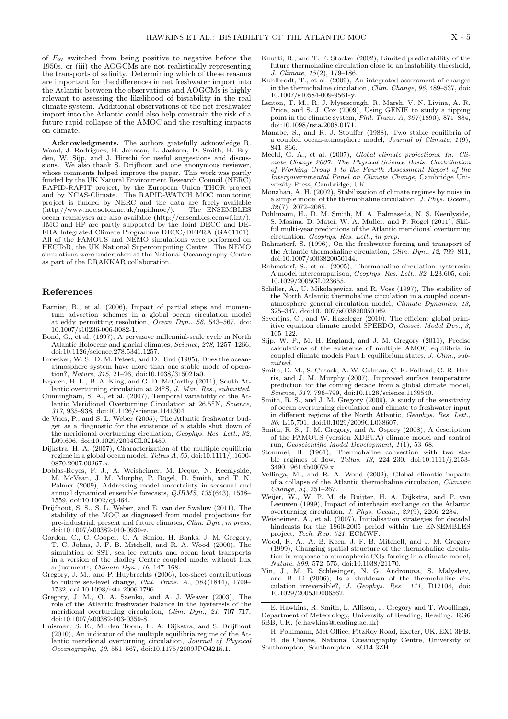of Fov switched from being positive to negative before the 1950s, or (iii) the AOGCMs are not realistically representing the transports of salinity. Determining which of these reasons are important for the differences in net freshwater import into the Atlantic between the observations and AOGCMs is highly relevant to assessing the likelihood of bistability in the real climate system. Additional observations of the net freshwater import into the Atlantic could also help constrain the risk of a future rapid collapse of the AMOC and the resulting impacts on climate.

Acknowledgments. The authors gratefully acknowledge R. Wood, J. Rodriguez, H. Johnson, L. Jackson, D. Smith, H. Bryden, W. Sijp, and J. Hirschi for useful suggestions and discussions. We also thank S. Drijfhout and one anonymous reviewer, whose comments helped improve the paper. This work was partly funded by the UK Natural Environment Research Council (NERC) RAPID-RAPIT project, by the European Union THOR project and by NCAS-Climate. The RAPID-WATCH MOC monitoring project is funded by NERC and the data are freely available<br>(http://www.noc.soton.ac.uk/rapidmoc/). The ENSEMBLES  $(\text{http://www.noc.soton.ac.uk/rapidmoc/}).$ ocean reanalyses are also available (http://ensembles.ecmwf.int/). JMG and HP are partly supported by the Joint DECC and DE-FRA Integrated Climate Programme DECC/DEFRA (GA01101). All of the FAMOUS and NEMO simulations were performed on HECToR, the UK National Supercomputing Centre. The NEMO simulations were undertaken at the National Oceanography Centre as part of the DRAKKAR collaboration.

#### References

- Barnier, B., et al. (2006), Impact of partial steps and momentum advection schemes in a global ocean circulation model at eddy permitting resolution, Ocean Dyn., 56, 543–567, doi: 10.1007/s10236-006-0082-1.
- Bond, G., et al. (1997), A pervasive millennial-scale cycle in North Atlantic Holocene and glacial climates, Science, 278, 1257–1266, doi:10.1126/science.278.5341.1257.
- Broecker, W. S., D. M. Peteet, and D. Rind (1985), Does the oceanatmosphere system have more than one stable mode of operation?, Nature, 315, 21–26, doi:10.1038/315021a0.
- Bryden, H. L., B. A. King, and G. D. McCarthy (2011), South Atlantic overturning circulation at 24°S, J. Mar. Res., submitted.
- Cunningham, S. A., et al. (2007), Temporal variability of the Atlantic Meridional Overturning Circulation at 26.5◦N, Science, 317, 935–938, doi:10.1126/science.1141304.
- de Vries, P., and S. L. Weber (2005), The Atlantic freshwater budget as a diagnostic for the existence of a stable shut down of the meridional overturning circulation, Geophys. Res. Lett., 32, L09,606, doi:10.1029/2004GL021450.
- Dijkstra, H. A. (2007), Characterization of the multiple equilibria regime in a global ocean model, Tellus A, 59, doi:10.1111/j.1600- 0870.2007.00267.x.
- Doblas-Reyes, F. J., A. Weisheimer, M. Deque, N. Keenlyside, M. McVean, J. M. Murphy, P. Rogel, D. Smith, and T. N. Palmer (2009), Addressing model uncertainty in seasonal and annual dynamical ensemble forecasts, QJRMS, 135(643), 1538– 1559, doi:10.1002/qj.464.
- Drijfhout, S. S., S. L. Weber, and E. van der Swaluw (2011), The stability of the MOC as diagnosed from model projections for pre-industrial, present and future climates, Clim. Dyn., in press,  $\frac{1}{10}$ .10.1007/s00382-010-0930-z.
- Gordon, C., C. Cooper, C. A. Senior, H. Banks, J. M. Gregory, T. C. Johns, J. F. B. Mitchell, and R. A. Wood (2000), The simulation of SST, sea ice extents and ocean heat transports in a version of the Hadley Centre coupled model without flux adjustments, Climate Dyn., 16, 147–168.
- Gregory, J. M., and P. Huybrechts (2006), Ice-sheet contributions to future sea-level change, Phil. Trans. A., 364(1844), 1709– 1732, doi:10.1098/rsta.2006.1796.
- Gregory, J. M., O. A. Saenko, and A. J. Weaver (2003), The role of the Atlantic freshwater balance in the hysteresis of the meridional overturning circulation, *Clim. Dyn.*, 21, 707-717, doi:10.1007/s00382-003-0359-8.
- Huisman, S. E., M. den Toom, H. A. Dijkstra, and S. Drijfhout (2010), An indicator of the multiple equilibria regime of the Atlantic meridional overturning circulation, Journal of Physical Oceanography, 40, 551–567, doi:10.1175/2009JPO4215.1.
- Knutti, R., and T. F. Stocker (2002), Limited predictability of the future thermohaline circulation close to an instability threshold, J. Climate, 15(2), 179–186.
- Kuhlbrodt, T., et al. (2009), An integrated assessment of changes in the thermohaline circulation, Clim. Change, 96, 489–537, doi: 10.1007/s10584-009-9561-y.
- Lenton, T. M., R. J. Myerscough, R. Marsh, V. N. Livina, A. R. Price, and S. J. Cox (2009), Using GENIE to study a tipping point in the climate system, *Phil. Trans. A, 367*(1890), 871–884, doi:10.1098/rsta.2008.0171.
- Manabe, S., and R. J. Stouffer (1988), Two stable equilibria of a coupled ocean-atmosphere model, Journal of Climate, 1(9), 841–866.
- Meehl, G. A., et al. (2007), Global climate projections. In: Climate Change 2007: The Physical Science Basis. Contribution of Working Group I to the Fourth Assessment Report of the Intergovernmental Panel on Climate Change, Cambridge University Press, Cambridge, UK.
- Monahan, A. H. (2002), Stabilization of climate regimes by noise in a simple model of the thermohaline circulation, J. Phys. Ocean., 32(7), 2072–2085.
- Pohlmann, H., D. M. Smith, M. A. Balmaseda, N. S. Keenlyside, S. Masina, D. Matei, W. A. Muller, and P. Rogel (2011), Skilful multi-year predictions of the Atlantic meridional overturning circulation, Geophys. Res. Lett., in prep.
- Rahmstorf, S. (1996), On the freshwater forcing and transport of the Atlantic thermohaline circulation,  $Clim$ .  $Dyn.$ , 12, 799–811, doi:10.1007/s003820050144.
- Rahmstorf, S., et al. (2005), Thermohaline circulation hysteresis: A model intercomparison, Geophys. Res. Lett., 32, L23,605, doi: 10.1029/2005GL023655.
- Schiller, A., U. Mikolajewicz, and R. Voss (1997), The stability of the North Atlantic thermohaline circulation in a coupled oceanatmosphere general circulation model, Climate Dynamics, 13, 325–347, doi:10.1007/s003820050169.
- Severijns, C., and W. Hazeleger (2010), The efficient global primitive equation climate model SPEEDO, Geosci. Model Dev., 3, 105–122.
- Sijp, W. P., M. H. England, and J. M. Gregory (2011), Precise calculations of the existence of multiple AMOC equilibria in coupled climate models Part I: equilibrium states, J. Clim., submitted.
- Smith, D. M., S. Cusack, A. W. Colman, C. K. Folland, G. R. Harris, and J. M. Murphy (2007), Improved surface temperature prediction for the coming decade from a global climate model, Science, 317, 796–799, doi:10.1126/science.1139540.
- Smith, R. S., and J. M. Gregory (2009), A study of the sensitivity of ocean overturning circulation and climate to freshwater input in different regions of the North Atlantic, Geophys. Res. Lett., 36, L15,701, doi:10.1029/2009GL038607.
- Smith, R. S., J. M. Gregory, and A. Osprey (2008), A description of the FAMOUS (version XDBUA) climate model and control run, Geoscientific Model Development, 1(1), 53–68.
- Stommel, H. (1961), Thermohaline convection with two stable regimes of flow, Tellus, 13, 224–230, doi:10.1111/j.2153- 3490.1961.tb00079.x.
- Vellinga, M., and R. A. Wood (2002), Global climatic impacts of a collapse of the Atlantic thermohaline circulation, Climatic Change, 54, 251–267.
- Weijer, W., W. P. M. de Ruijter, H. A. Dijkstra, and P. van Leeuwen (1999), Impact of interbasin exchange on the Atlantic overturning circulation, J. Phys. Ocean., 29(9), 2266–2284.
- Weisheimer, A., et al. (2007), Initialisation strategies for decadal hindcasts for the 1960-2005 period within the ENSEMBLES project, Tech. Rep. 521, ECMWF.
- Wood, R. A., A. B. Keen, J. F. B. Mitchell, and J. M. Gregory (1999), Changing spatial structure of the thermohaline circulation in response to atmospheric  $CO<sub>2</sub>$  forcing in a climate model, Nature, 399, 572–575, doi:10.1038/21170.
- Yin, J., M. E. Schlesinger, N. G. Andronova, S. Malyshev, and B. Li (2006), Is a shutdown of the thermohaline circulation irreversible?, J. Geophys. Res., 111, D12104, doi: 10.1029/2005JD006562.

E. Hawkins, R. Smith, L. Allison, J. Gregory and T. Woollings, Department of Meteorology, University of Reading, Reading. RG6 6BB, UK. (e.hawkins@reading.ac.uk)

H. Pohlmann, Met Office, FitzRoy Road, Exeter, UK. EX1 3PB. B. de Cuevas, National Oceanography Centre, University of Southampton, Southampton. SO14 3ZH.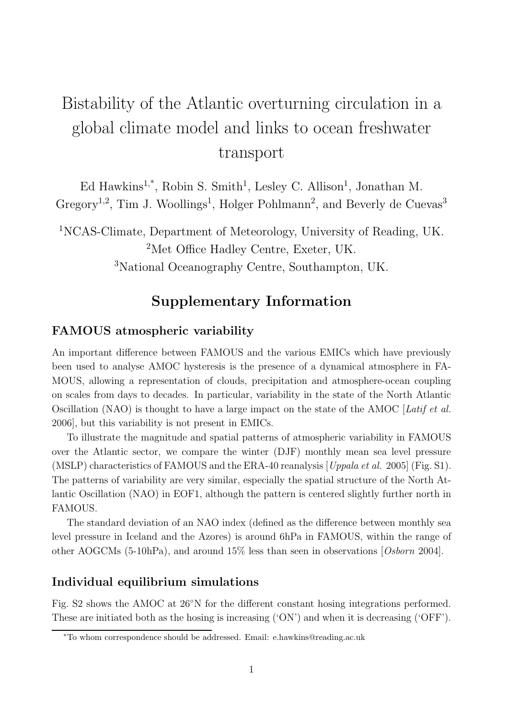# Bistability of the Atlantic overturning circulation in a global climate model and links to ocean freshwater transport

Ed Hawkins<sup>1,\*</sup>, Robin S. Smith<sup>1</sup>, Lesley C. Allison<sup>1</sup>, Jonathan M. Gregory<sup>1,2</sup>, Tim J. Woollings<sup>1</sup>, Holger Pohlmann<sup>2</sup>, and Beverly de Cuevas<sup>3</sup>

<sup>1</sup>NCAS-Climate, Department of Meteorology, University of Reading, UK. <sup>2</sup>Met Office Hadley Centre, Exeter, UK. <sup>3</sup>National Oceanography Centre, Southampton, UK.

# Supplementary Information

### FAMOUS atmospheric variability

An important difference between FAMOUS and the various EMICs which have previously been used to analyse AMOC hysteresis is the presence of a dynamical atmosphere in FA-MOUS, allowing a representation of clouds, precipitation and atmosphere-ocean coupling on scales from days to decades. In particular, variability in the state of the North Atlantic Oscillation (NAO) is thought to have a large impact on the state of the AMOC [Latif et al. 2006], but this variability is not present in EMICs.

To illustrate the magnitude and spatial patterns of atmospheric variability in FAMOUS over the Atlantic sector, we compare the winter (DJF) monthly mean sea level pressure (MSLP) characteristics of FAMOUS and the ERA-40 reanalysis [Uppala et al. 2005] (Fig. S1). The patterns of variability are very similar, especially the spatial structure of the North Atlantic Oscillation (NAO) in EOF1, although the pattern is centered slightly further north in FAMOUS.

The standard deviation of an NAO index (defined as the difference between monthly sea level pressure in Iceland and the Azores) is around 6hPa in FAMOUS, within the range of other AOGCMs (5-10hPa), and around  $15\%$  less than seen in observations [Osborn 2004].

### Individual equilibrium simulations

Fig. S2 shows the AMOC at  $26\degree N$  for the different constant hosing integrations performed. These are initiated both as the hosing is increasing ('ON') and when it is decreasing ('OFF').

<sup>∗</sup>To whom correspondence should be addressed. Email: e.hawkins@reading.ac.uk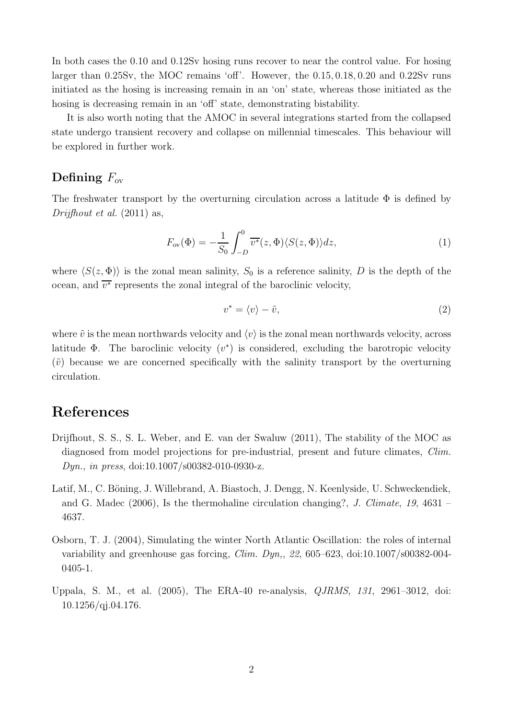In both cases the 0.10 and 0.12Sv hosing runs recover to near the control value. For hosing larger than 0.25Sv, the MOC remains 'off'. However, the 0.15, 0.18, 0.20 and 0.22Sv runs initiated as the hosing is increasing remain in an 'on' state, whereas those initiated as the hosing is decreasing remain in an 'off' state, demonstrating bistability.

It is also worth noting that the AMOC in several integrations started from the collapsed state undergo transient recovery and collapse on millennial timescales. This behaviour will be explored in further work.

### Defining  $F_{ov}$

The freshwater transport by the overturning circulation across a latitude  $\Phi$  is defined by Drijfhout et al.  $(2011)$  as,

$$
F_{\text{ov}}(\Phi) = -\frac{1}{S_0} \int_{-D}^{0} \overline{v^*}(z, \Phi) \langle S(z, \Phi) \rangle dz, \tag{1}
$$

where  $\langle S(z, \Phi) \rangle$  is the zonal mean salinity,  $S_0$  is a reference salinity, D is the depth of the ocean, and  $\overline{v^*}$  represents the zonal integral of the baroclinic velocity,

$$
v^* = \langle v \rangle - \tilde{v},\tag{2}
$$

where  $\tilde{v}$  is the mean northwards velocity and  $\langle v \rangle$  is the zonal mean northwards velocity, across latitude  $\Phi$ . The baroclinic velocity  $(v^*)$  is considered, excluding the barotropic velocity  $(\tilde{v})$  because we are concerned specifically with the salinity transport by the overturning circulation.

## References

- Drijfhout, S. S., S. L. Weber, and E. van der Swaluw (2011), The stability of the MOC as diagnosed from model projections for pre-industrial, present and future climates, *Clim.* Dyn., in press, doi:10.1007/s00382-010-0930-z.
- Latif, M., C. Böning, J. Willebrand, A. Biastoch, J. Dengg, N. Keenlyside, U. Schweckendiek, and G. Madec (2006), Is the thermohaline circulation changing?, J. Climate, 19, 4631 – 4637.
- Osborn, T. J. (2004), Simulating the winter North Atlantic Oscillation: the roles of internal variability and greenhouse gas forcing,  $Clim. Dyn, 22, 605-623, \text{doi:10.1007/s00382-004-}$ 0405-1.
- Uppala, S. M., et al. (2005), The ERA-40 re-analysis, QJRMS, 131, 2961–3012, doi: 10.1256/qj.04.176.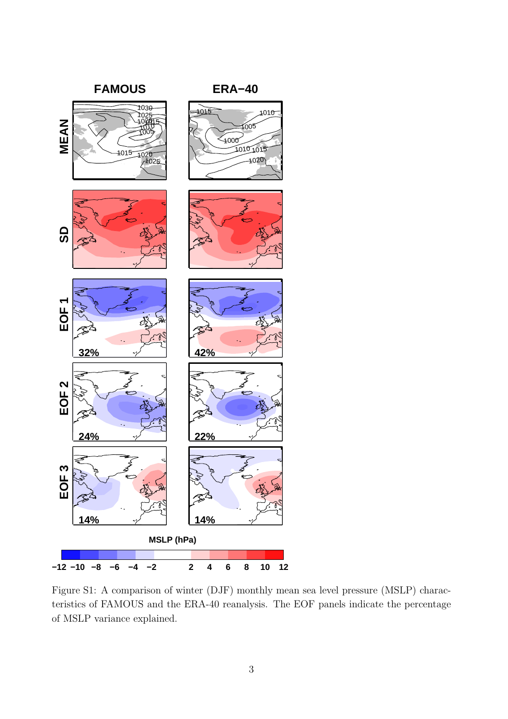

Figure S1: A comparison of winter (DJF) monthly mean sea level pressure (MSLP) characteristics of FAMOUS and the ERA-40 reanalysis. The EOF panels indicate the percentage of MSLP variance explained.